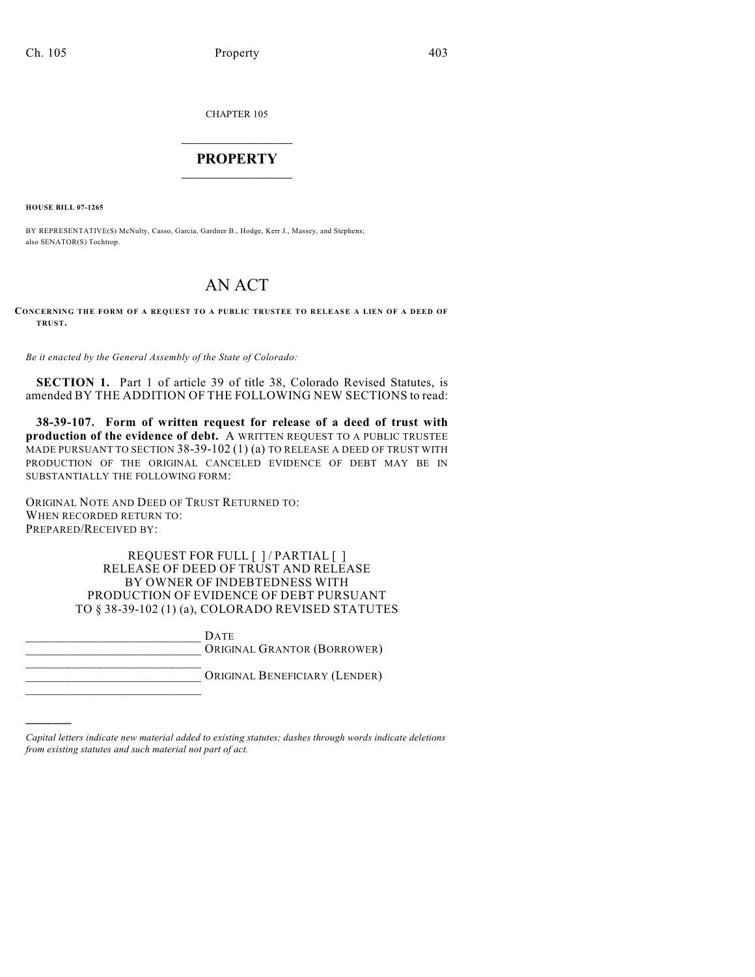CHAPTER 105

# $\mathcal{L}_\text{max}$  . The set of the set of the set of the set of the set of the set of the set of the set of the set of the set of the set of the set of the set of the set of the set of the set of the set of the set of the set **PROPERTY**  $\_$   $\_$   $\_$   $\_$   $\_$   $\_$   $\_$   $\_$   $\_$

**HOUSE BILL 07-1265**

)))))

\_\_\_\_\_\_\_\_\_\_\_\_\_\_\_\_\_\_\_\_\_\_\_\_\_\_\_

BY REPRESENTATIVE(S) McNulty, Casso, Garcia, Gardner B., Hodge, Kerr J., Massey, and Stephens; also SENATOR(S) Tochtrop.

# AN ACT

#### **CONCERNING THE FORM OF A REQUEST TO A PUBLIC TRUSTEE TO RELEASE A LIEN OF A DEED OF TRUST.**

*Be it enacted by the General Assembly of the State of Colorado:*

**SECTION 1.** Part 1 of article 39 of title 38, Colorado Revised Statutes, is amended BY THE ADDITION OF THE FOLLOWING NEW SECTIONS to read:

**38-39-107. Form of written request for release of a deed of trust with production of the evidence of debt.** A WRITTEN REQUEST TO A PUBLIC TRUSTEE MADE PURSUANT TO SECTION 38-39-102 (1) (a) TO RELEASE A DEED OF TRUST WITH PRODUCTION OF THE ORIGINAL CANCELED EVIDENCE OF DEBT MAY BE IN SUBSTANTIALLY THE FOLLOWING FORM:

ORIGINAL NOTE AND DEED OF TRUST RETURNED TO: WHEN RECORDED RETURN TO: PREPARED/RECEIVED BY:

> REQUEST FOR FULL [ ] / PARTIAL [ ] RELEASE OF DEED OF TRUST AND RELEASE BY OWNER OF INDEBTEDNESS WITH PRODUCTION OF EVIDENCE OF DEBT PURSUANT TO § 38-39-102 (1) (a), COLORADO REVISED STATUTES

 $_{\rm \,DATE}$ ORIGINAL GRANTOR (BORROWER) \_\_\_\_\_\_\_\_\_\_\_\_\_\_\_\_\_\_\_\_\_\_\_\_\_\_\_

ORIGINAL BENEFICIARY (LENDER)

*Capital letters indicate new material added to existing statutes; dashes through words indicate deletions from existing statutes and such material not part of act.*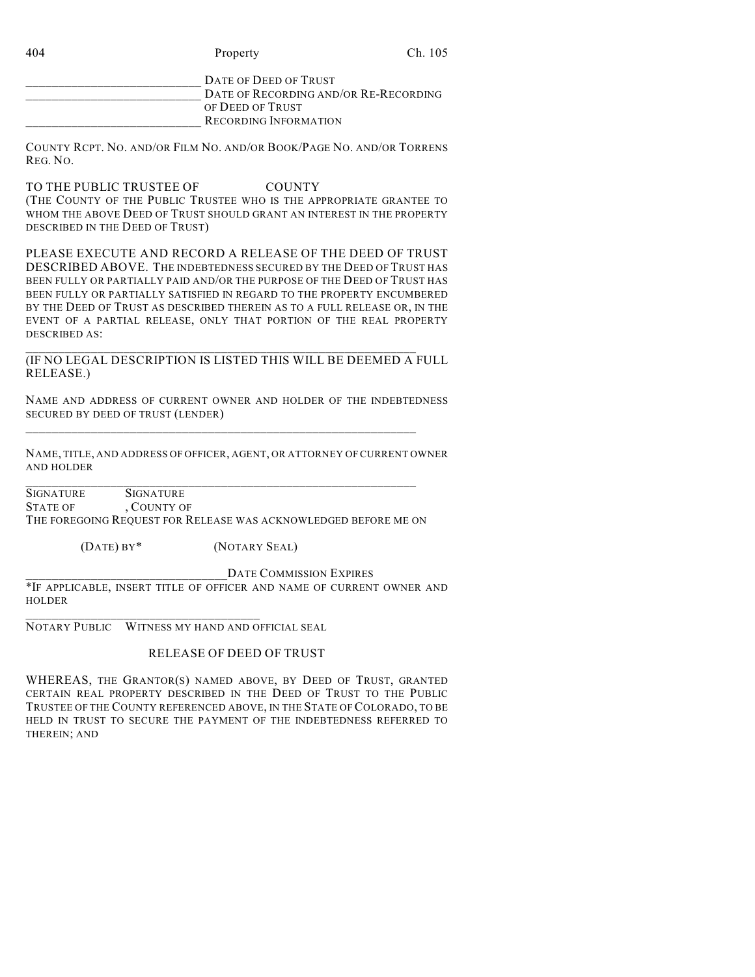| 404 | Property                                                       | Ch. 105 |
|-----|----------------------------------------------------------------|---------|
|     | DATE OF DEED OF TRUST<br>DATE OF RECORDING AND/OR RE-RECORDING |         |
|     | OF DEED OF TRUST                                               |         |

RECORDING INFORMATION

COUNTY RCPT. NO. AND/OR FILM NO. AND/OR BOOK/PAGE NO. AND/OR TORRENS REG. NO.

TO THE PUBLIC TRUSTEE OF COUNTY (THE COUNTY OF THE PUBLIC TRUSTEE WHO IS THE APPROPRIATE GRANTEE TO WHOM THE ABOVE DEED OF TRUST SHOULD GRANT AN INTEREST IN THE PROPERTY DESCRIBED IN THE DEED OF TRUST)

PLEASE EXECUTE AND RECORD A RELEASE OF THE DEED OF TRUST DESCRIBED ABOVE. THE INDEBTEDNESS SECURED BY THE DEED OF TRUST HAS BEEN FULLY OR PARTIALLY PAID AND/OR THE PURPOSE OF THE DEED OF TRUST HAS BEEN FULLY OR PARTIALLY SATISFIED IN REGARD TO THE PROPERTY ENCUMBERED BY THE DEED OF TRUST AS DESCRIBED THEREIN AS TO A FULL RELEASE OR, IN THE EVENT OF A PARTIAL RELEASE, ONLY THAT PORTION OF THE REAL PROPERTY DESCRIBED AS:

## \_\_\_\_\_\_\_\_\_\_\_\_\_\_\_\_\_\_\_\_\_\_\_\_\_\_\_\_\_\_\_\_\_\_\_\_\_\_\_\_\_\_\_\_\_\_\_\_\_\_\_\_\_\_\_\_\_\_\_\_ (IF NO LEGAL DESCRIPTION IS LISTED THIS WILL BE DEEMED A FULL RELEASE.)

NAME AND ADDRESS OF CURRENT OWNER AND HOLDER OF THE INDEBTEDNESS SECURED BY DEED OF TRUST (LENDER)

 $\_$  , and the set of the set of the set of the set of the set of the set of the set of the set of the set of the set of the set of the set of the set of the set of the set of the set of the set of the set of the set of th

\_\_\_\_\_\_\_\_\_\_\_\_\_\_\_\_\_\_\_\_\_\_\_\_\_\_\_\_\_\_\_\_\_\_\_\_\_\_\_\_\_\_\_\_\_\_\_\_\_\_\_\_\_\_\_\_\_\_\_\_

NAME, TITLE, AND ADDRESS OF OFFICER, AGENT, OR ATTORNEY OF CURRENT OWNER AND HOLDER

SIGNATURE SIGNATURE STATE OF , COUNTY OF THE FOREGOING REQUEST FOR RELEASE WAS ACKNOWLEDGED BEFORE ME ON

(DATE) BY\* (NOTARY SEAL)

DATE COMMISSION EXPIRES \*IF APPLICABLE, INSERT TITLE OF OFFICER AND NAME OF CURRENT OWNER AND HOLDER

NOTARY PUBLIC WITNESS MY HAND AND OFFICIAL SEAL

\_\_\_\_\_\_\_\_\_\_\_\_\_\_\_\_\_\_\_\_\_\_\_\_\_\_\_\_\_\_\_\_\_\_\_\_

# RELEASE OF DEED OF TRUST

WHEREAS, THE GRANTOR(S) NAMED ABOVE, BY DEED OF TRUST, GRANTED CERTAIN REAL PROPERTY DESCRIBED IN THE DEED OF TRUST TO THE PUBLIC TRUSTEE OF THE COUNTY REFERENCED ABOVE, IN THE STATE OF COLORADO, TO BE HELD IN TRUST TO SECURE THE PAYMENT OF THE INDEBTEDNESS REFERRED TO THEREIN; AND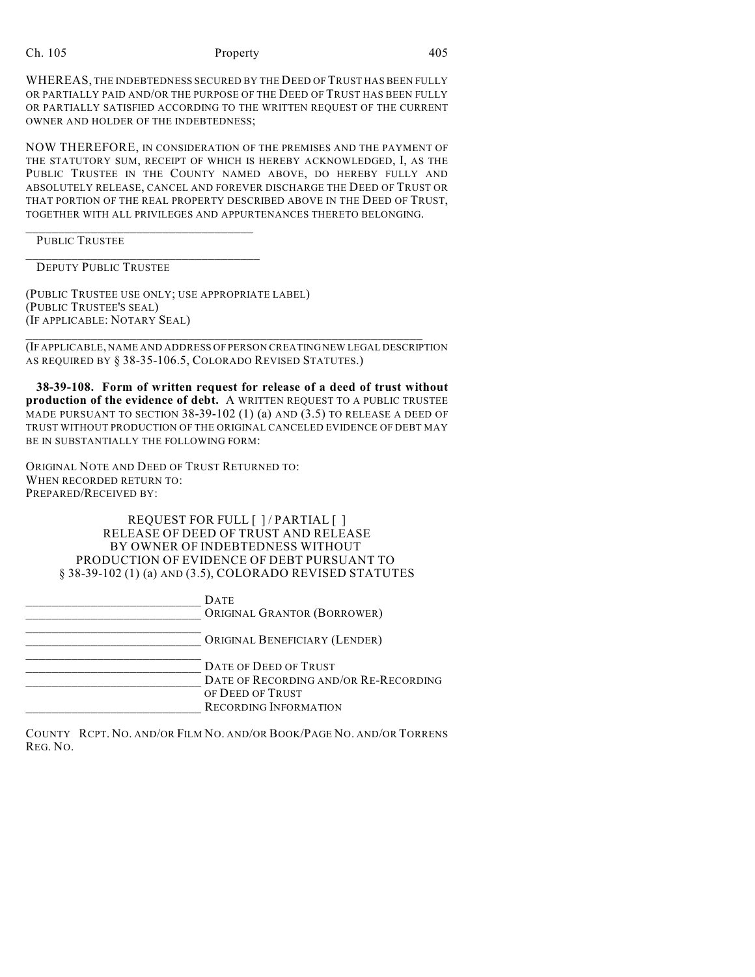#### Ch. 105 Property 205

WHEREAS, THE INDEBTEDNESS SECURED BY THE DEED OF TRUST HAS BEEN FULLY OR PARTIALLY PAID AND/OR THE PURPOSE OF THE DEED OF TRUST HAS BEEN FULLY OR PARTIALLY SATISFIED ACCORDING TO THE WRITTEN REQUEST OF THE CURRENT OWNER AND HOLDER OF THE INDEBTEDNESS;

NOW THEREFORE, IN CONSIDERATION OF THE PREMISES AND THE PAYMENT OF THE STATUTORY SUM, RECEIPT OF WHICH IS HEREBY ACKNOWLEDGED, I, AS THE PUBLIC TRUSTEE IN THE COUNTY NAMED ABOVE, DO HEREBY FULLY AND ABSOLUTELY RELEASE, CANCEL AND FOREVER DISCHARGE THE DEED OF TRUST OR THAT PORTION OF THE REAL PROPERTY DESCRIBED ABOVE IN THE DEED OF TRUST, TOGETHER WITH ALL PRIVILEGES AND APPURTENANCES THERETO BELONGING.

\_\_\_\_\_\_\_\_\_\_\_\_\_\_\_\_\_\_\_\_\_\_\_\_\_\_\_\_\_\_\_\_\_\_\_ PUBLIC TRUSTEE

DEPUTY PUBLIC TRUSTEE

(PUBLIC TRUSTEE USE ONLY; USE APPROPRIATE LABEL) (PUBLIC TRUSTEE'S SEAL) (IF APPLICABLE: NOTARY SEAL)

\_\_\_\_\_\_\_\_\_\_\_\_\_\_\_\_\_\_\_\_\_\_\_\_\_\_\_\_\_\_\_\_\_\_\_\_

(IF APPLICABLE, NAME AND ADDRESS OF PERSON CREATING NEW LEGAL DESCRIPTION AS REQUIRED BY § 38-35-106.5, COLORADO REVISED STATUTES.)

\_\_\_\_\_\_\_\_\_\_\_\_\_\_\_\_\_\_\_\_\_\_\_\_\_\_\_\_\_\_\_\_\_\_\_\_\_\_\_\_\_\_\_\_\_\_\_\_\_\_\_\_\_\_\_\_\_\_\_\_\_

**38-39-108. Form of written request for release of a deed of trust without production of the evidence of debt.** A WRITTEN REQUEST TO A PUBLIC TRUSTEE MADE PURSUANT TO SECTION 38-39-102 (1) (a) AND (3.5) TO RELEASE A DEED OF TRUST WITHOUT PRODUCTION OF THE ORIGINAL CANCELED EVIDENCE OF DEBT MAY BE IN SUBSTANTIALLY THE FOLLOWING FORM:

ORIGINAL NOTE AND DEED OF TRUST RETURNED TO: WHEN RECORDED RETURN TO: PREPARED/RECEIVED BY:

> REQUEST FOR FULL [ ] / PARTIAL [ ] RELEASE OF DEED OF TRUST AND RELEASE BY OWNER OF INDEBTEDNESS WITHOUT PRODUCTION OF EVIDENCE OF DEBT PURSUANT TO § 38-39-102 (1) (a) AND (3.5), COLORADO REVISED STATUTES

| <b>DATE</b><br>ORIGINAL GRANTOR (BORROWER)                                                                         |
|--------------------------------------------------------------------------------------------------------------------|
| ORIGINAL BENEFICIARY (LENDER)                                                                                      |
| DATE OF DEED OF TRUST<br>DATE OF RECORDING AND/OR RE-RECORDING<br>OF DEED OF TRUST<br><b>RECORDING INFORMATION</b> |

COUNTY RCPT. NO. AND/OR FILM NO. AND/OR BOOK/PAGE NO. AND/OR TORRENS REG. NO.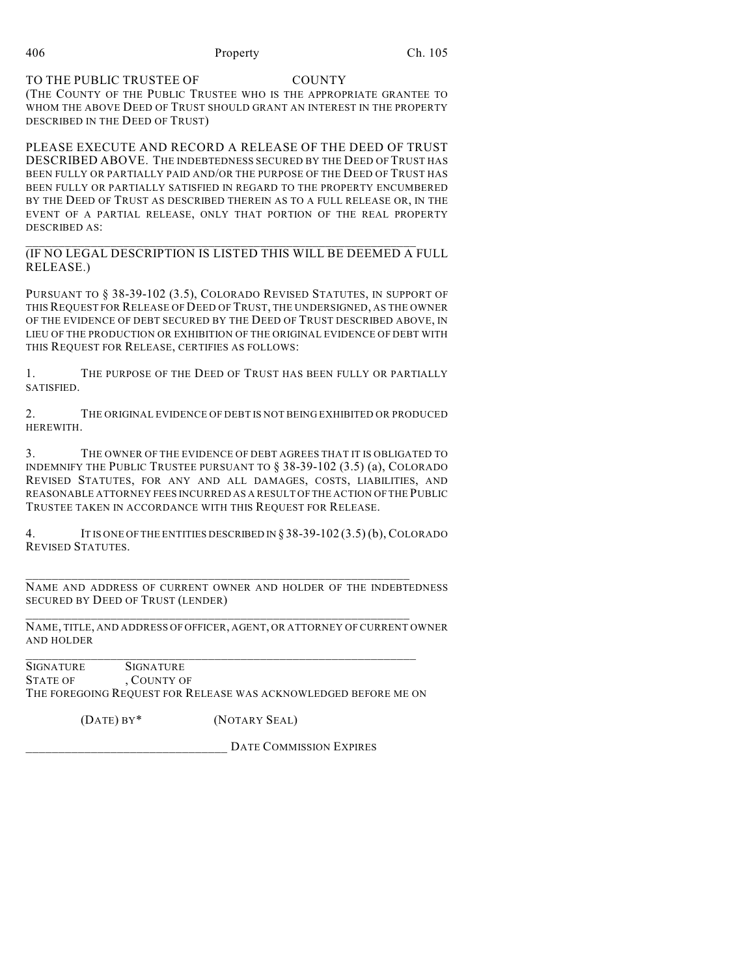## TO THE PUBLIC TRUSTEE OF COUNTY

(THE COUNTY OF THE PUBLIC TRUSTEE WHO IS THE APPROPRIATE GRANTEE TO WHOM THE ABOVE DEED OF TRUST SHOULD GRANT AN INTEREST IN THE PROPERTY DESCRIBED IN THE DEED OF TRUST)

PLEASE EXECUTE AND RECORD A RELEASE OF THE DEED OF TRUST DESCRIBED ABOVE. THE INDEBTEDNESS SECURED BY THE DEED OF TRUST HAS BEEN FULLY OR PARTIALLY PAID AND/OR THE PURPOSE OF THE DEED OF TRUST HAS BEEN FULLY OR PARTIALLY SATISFIED IN REGARD TO THE PROPERTY ENCUMBERED BY THE DEED OF TRUST AS DESCRIBED THEREIN AS TO A FULL RELEASE OR, IN THE EVENT OF A PARTIAL RELEASE, ONLY THAT PORTION OF THE REAL PROPERTY DESCRIBED AS:

\_\_\_\_\_\_\_\_\_\_\_\_\_\_\_\_\_\_\_\_\_\_\_\_\_\_\_\_\_\_\_\_\_\_\_\_\_\_\_\_\_\_\_\_\_\_\_\_\_\_\_\_\_\_\_\_\_\_\_\_ (IF NO LEGAL DESCRIPTION IS LISTED THIS WILL BE DEEMED A FULL RELEASE.)

PURSUANT TO § 38-39-102 (3.5), COLORADO REVISED STATUTES, IN SUPPORT OF THIS REQUEST FOR RELEASE OF DEED OF TRUST, THE UNDERSIGNED, AS THE OWNER OF THE EVIDENCE OF DEBT SECURED BY THE DEED OF TRUST DESCRIBED ABOVE, IN LIEU OF THE PRODUCTION OR EXHIBITION OF THE ORIGINAL EVIDENCE OF DEBT WITH THIS REQUEST FOR RELEASE, CERTIFIES AS FOLLOWS:

1. THE PURPOSE OF THE DEED OF TRUST HAS BEEN FULLY OR PARTIALLY SATISFIED.

2. THE ORIGINAL EVIDENCE OF DEBT IS NOT BEING EXHIBITED OR PRODUCED HEREWITH.

3. THE OWNER OF THE EVIDENCE OF DEBT AGREES THAT IT IS OBLIGATED TO INDEMNIFY THE PUBLIC TRUSTEE PURSUANT TO § 38-39-102 (3.5) (a), COLORADO REVISED STATUTES, FOR ANY AND ALL DAMAGES, COSTS, LIABILITIES, AND REASONABLE ATTORNEY FEES INCURRED AS A RESULT OF THE ACTION OF THE PUBLIC TRUSTEE TAKEN IN ACCORDANCE WITH THIS REQUEST FOR RELEASE.

4. IT IS ONE OF THE ENTITIES DESCRIBED IN § 38-39-102 (3.5) (b), COLORADO REVISED STATUTES.

NAME AND ADDRESS OF CURRENT OWNER AND HOLDER OF THE INDEBTEDNESS SECURED BY DEED OF TRUST (LENDER)

\_\_\_\_\_\_\_\_\_\_\_\_\_\_\_\_\_\_\_\_\_\_\_\_\_\_\_\_\_\_\_\_\_\_\_\_\_\_\_\_\_\_\_\_\_\_\_\_\_\_\_\_\_\_\_\_\_\_\_

\_\_\_\_\_\_\_\_\_\_\_\_\_\_\_\_\_\_\_\_\_\_\_\_\_\_\_\_\_\_\_\_\_\_\_\_\_\_\_\_\_\_\_\_\_\_\_\_\_\_\_\_\_\_\_\_\_\_\_

\_\_\_\_\_\_\_\_\_\_\_\_\_\_\_\_\_\_\_\_\_\_\_\_\_\_\_\_\_\_\_\_\_\_\_\_\_\_\_\_\_\_\_\_\_\_\_\_\_\_\_\_\_\_\_\_\_\_\_\_

NAME, TITLE, AND ADDRESS OF OFFICER, AGENT, OR ATTORNEY OF CURRENT OWNER AND HOLDER

SIGNATURE SIGNATURE STATE OF COUNTY OF THE FOREGOING REQUEST FOR RELEASE WAS ACKNOWLEDGED BEFORE ME ON

(DATE) BY\* (NOTARY SEAL)

DATE COMMISSION EXPIRES